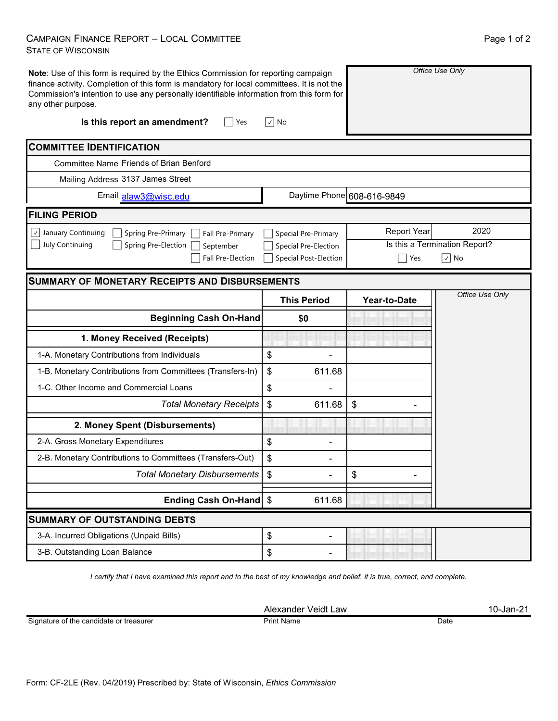## CAMPAIGN FINANCE REPORT – LOCAL COMMITTEE STATE OF WISCONSIN

| any other purpose.                           | Note: Use of this form is required by the Ethics Commission for reporting campaign<br>finance activity. Completion of this form is mandatory for local committees. It is not the<br>Commission's intention to use any personally identifiable information from this form for |                                | Office Use Only            |                               |  |
|----------------------------------------------|------------------------------------------------------------------------------------------------------------------------------------------------------------------------------------------------------------------------------------------------------------------------------|--------------------------------|----------------------------|-------------------------------|--|
|                                              | Is this report an amendment?<br>Yes                                                                                                                                                                                                                                          | $\sqrt{ }$ No                  |                            |                               |  |
| <b>COMMITTEE IDENTIFICATION</b>              |                                                                                                                                                                                                                                                                              |                                |                            |                               |  |
|                                              | Committee Name Friends of Brian Benford                                                                                                                                                                                                                                      |                                |                            |                               |  |
|                                              | Mailing Address 3137 James Street                                                                                                                                                                                                                                            |                                |                            |                               |  |
|                                              | Email alaw3@wisc.edu                                                                                                                                                                                                                                                         |                                | Daytime Phone 608-616-9849 |                               |  |
| <b>FILING PERIOD</b>                         |                                                                                                                                                                                                                                                                              |                                |                            |                               |  |
| $\cup$ January Continuing                    | Fall Pre-Primary<br>Spring Pre-Primary                                                                                                                                                                                                                                       | <b>Special Pre-Primary</b>     | <b>Report Year</b>         | 2020                          |  |
| July Continuing                              | Spring Pre-Election<br>September                                                                                                                                                                                                                                             | Special Pre-Election           |                            | Is this a Termination Report? |  |
|                                              | Fall Pre-Election                                                                                                                                                                                                                                                            | <b>Special Post-Election</b>   | Yes                        | $\boxed{\vee}$ No             |  |
|                                              | <b>SUMMARY OF MONETARY RECEIPTS AND DISBURSEMENTS</b>                                                                                                                                                                                                                        |                                |                            |                               |  |
|                                              |                                                                                                                                                                                                                                                                              | <b>This Period</b>             | Year-to-Date               | Office Use Only               |  |
|                                              | <b>Beginning Cash On-Hand</b>                                                                                                                                                                                                                                                | \$0                            |                            |                               |  |
|                                              |                                                                                                                                                                                                                                                                              |                                |                            |                               |  |
|                                              | 1. Money Received (Receipts)                                                                                                                                                                                                                                                 |                                |                            |                               |  |
| 1-A. Monetary Contributions from Individuals |                                                                                                                                                                                                                                                                              | \$                             |                            |                               |  |
|                                              | 1-B. Monetary Contributions from Committees (Transfers-In)                                                                                                                                                                                                                   | \$<br>611.68                   |                            |                               |  |
| 1-C. Other Income and Commercial Loans       |                                                                                                                                                                                                                                                                              | \$                             |                            |                               |  |
|                                              | <b>Total Monetary Receipts</b>                                                                                                                                                                                                                                               | \$<br>611.68                   | \$                         |                               |  |
|                                              | 2. Money Spent (Disbursements)                                                                                                                                                                                                                                               |                                |                            |                               |  |
| 2-A. Gross Monetary Expenditures             |                                                                                                                                                                                                                                                                              | \$                             |                            |                               |  |
|                                              | 2-B. Monetary Contributions to Committees (Transfers-Out)                                                                                                                                                                                                                    | \$                             |                            |                               |  |
|                                              | <b>Total Monetary Disbursements</b>                                                                                                                                                                                                                                          | $\frac{1}{2}$                  | \$                         |                               |  |
|                                              | Ending Cash On-Hand   \$                                                                                                                                                                                                                                                     | 611.68                         |                            |                               |  |
| <b>SUMMARY OF OUTSTANDING DEBTS</b>          |                                                                                                                                                                                                                                                                              |                                |                            |                               |  |
| 3-A. Incurred Obligations (Unpaid Bills)     |                                                                                                                                                                                                                                                                              | \$<br>$\overline{\phantom{0}}$ |                            |                               |  |

*I certify that I have examined this report and to the best of my knowledge and belief, it is true, correct, and complete.*

Alexander Veidt Law 10-Jan-21 **Print Name**